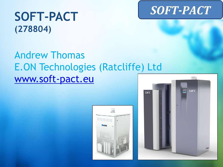# **SOFT-PACT**

# **SOFT-PACT (278804)**

# Andrew Thomas E.ON Technologies (Ratcliffe) Ltd [www.soft-pact.eu](http://www.soft-pact.eu/)



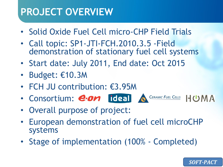#### **PROJECT OVERVIEW**

- Solid Oxide Fuel Cell micro-CHP Field Trials
- Call topic: SP1-JTI-FCH.2010.3.5 -Field demonstration of stationary fuel cell systems
- Start date: July 2011, End date: Oct 2015
- Budget: €10.3M
- FCH JU contribution: €3.95M
- Consortium: e.on ideal A CERAMIC FUEL CELLS HUMA
- Overall purpose of project:
- European demonstration of fuel cell microCHP systems
- Stage of implementation (100% Completed)

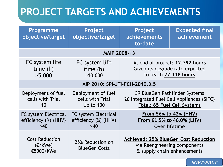# **PROJECT TARGETS AND ACHIEVEMENTS**

| <b>Programme</b><br>objective/target                       | Project<br>objective/target                                | Project<br>achievements<br>to-date                                                                               | <b>Expected final</b><br>achievement |
|------------------------------------------------------------|------------------------------------------------------------|------------------------------------------------------------------------------------------------------------------|--------------------------------------|
| <b>MAIP 2008-13</b>                                        |                                                            |                                                                                                                  |                                      |
| FC system life<br>time $(h)$<br>>5,000                     | FC system life<br>time $(h)$<br>>10,000                    | At end of project: 12,792 hours<br>Given its degrade rate expected<br>to reach 27,118 hours                      |                                      |
| AIP 2010: SPI-JTI-FCH-2010.3.5                             |                                                            |                                                                                                                  |                                      |
| Deployment of fuel<br>cells with Trial<br>10               | Deployment of fuel<br>cells with Trial<br><b>Up to 100</b> | 39 BlueGen Pathfinder Systems<br>26 Integrated Fuel Cell Appliances (SIFC)<br><b>Total: 65 Fuel Cell Systems</b> |                                      |
| <b>FC system Electrical</b><br>efficiency (%) (HHV)<br>>40 | FC system Electrical<br>efficiency (%) (HHV)<br>>40        | From 56% to 42% (HHV)<br>From 61.5% to 46.0% (LHV)<br>Over lifetime                                              |                                      |
| <b>Cost Reduction</b><br>(E/kWe)<br>€5000/kWe              | 25% Reduction on<br><b>BlueGen Costs</b>                   | <b>Achieved: 25% BlueGen Cost Reduction</b><br>via Reengineering components<br>& supply chain enhancements       |                                      |

**SOFT-PACT**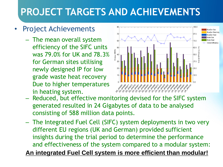# **PROJECT TARGETS AND ACHIEVEMENTS**

#### Project Achievements

– The mean overall system efficiency of the SIFC units was 79.0% for UK and 78.3% for German sites utilising newly designed IP for low grade waste heat recovery Due to higher temperatures in heating system.



- Reduced, but effective monitoring devised for the SIFC system generated resulted in 24 Gigabytes of data to be analysed consisting of 588 million data points.
- The Integrated Fuel Cell (SIFC) system deployments in two very different EU regions (UK and German) provided sufficient insights during the trial period to determine the performance and effectiveness of the system compared to a modular system:

**An integrated Fuel Cell system is more efficient than modular!**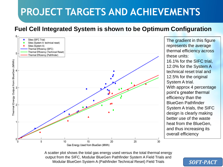# **PROJECT TARGETS AND ACHIEVEMENTS**

#### **Fuel Cell Integrated System is shown to be Optimum Configuration**



The gradient in this figure represents the average thermal efficiency across these units: 16.1% for the SIFC trial, 12.0% for the System A technical reset trial and 12.5% for the original System A trial. With approx 4 percentage point's greater thermal efficiency than the BlueGen Pathfinder System A trials, the SIFC design is clearly making better use of the waste heat from the BlueGen, and thus increasing its overall efficiency

A scatter plot shows the total gas energy used versus the total thermal energy output from the SIFC, Modular BlueGen Pathfinder System A Field Trials and Modular BlueGen System A (Pathfinder Technical Reset) Field Trials

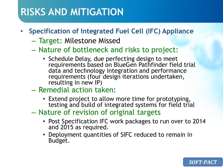#### **RISKS AND MITIGATION**

- **Specification of Integrated Fuel Cell (IFC) Appliance**
	- Target: Milestone Missed
	- Nature of bottleneck and risks to project:
		- Schedule Delay, due perfecting design to meet requirements based on BlueGen Pathfinder field trial data and technology integration and performance requirements (four design iterations undertaken, resulting in new IP)
	- Remedial action taken:
		- Extend project to allow more time for prototyping, testing and build of integrated systems for field trial
	- Nature of revision of original targets
		- Post Specification IFC work packages to run over to 2014 and 2015 as required.
		- Deployment quantities of SIFC reduced to remain in Budget.

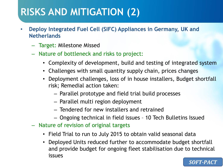#### **RISKS AND MITIGATION (2)**

- **Deploy Integrated Fuel Cell (SIFC) Appliances in Germany, UK and Netherlands**
	- Target: Milestone Missed
	- Nature of bottleneck and risks to project:
		- Complexity of development, build and testing of integrated system
		- Challenges with small quantity supply chain, prices changes
		- Deployment challenges, loss of in house installers, Budget shortfall risk; Remedial action taken:
			- Parallel prototype and field trial build processes
			- Parallel multi region deployment
			- Tendered for new installers and retrained
			- Ongoing technical in field issues 10 Tech Bulletins Issued
	- Nature of revision of original targets
		- Field Trial to run to July 2015 to obtain valid seasonal data
		- Deployed Units reduced further to accommodate budget shortfall and provide budget for ongoing fleet stabilisation due to technical issues

*SOFT-PACT*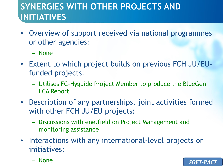#### **SYNERGIES WITH OTHER PROJECTS AND INITIATIVES**

- Overview of support received via national programmes or other agencies:
	- None
- Extent to which project builds on previous FCH JU/EUfunded projects:
	- Utilises FC-Hyguide Project Member to produce the BlueGen LCA Report
- Description of any partnerships, joint activities formed with other FCH JU/EU projects:
	- Discussions with ene.field on Project Management and monitoring assistance
- Interactions with any international-level projects or initiatives:
	- None

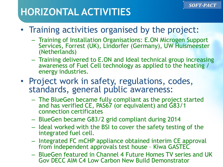### **HORIZONTAL ACTIVITIES**

- Training activities organised by the project:
	- Training of Installation Organisations: E.ON Microgen Support Services, Forrest (UK), Lindorfer (Germany), UW Huismeester (Netherlands)
	- Training delivered to E.ON and Ideal technical group increasing awareness of Fuel Cell technology as applied to the heating / energy industries.
- Project work in safety, regulations, codes, standards, general public awareness:
	- The BlueGen became fully compliant as the project started and has verified CE, PAS67 (or equivalent) and G83/1 connection certificates
	- BlueGen became G83/2 grid compliant during 2014
	- Ideal worked with the BSI to cover the safety testing of the integrated fuel cell.
	- Integrated FC mCHP appliance obtained interim CE approval from independent approvals test house – Kiwa GASTEC.
	- BlueGen featured in Channel 4 Future Homes TV series and UK Gov DECC AIM C4 Low Carbon New Build Demonstrator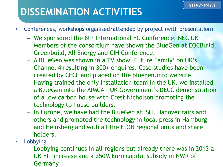### **DISSEMINATION ACTIVITIES**

- Conferences, workshops organised/attended by project (with presentation)
	- We sponsored the 8th International FC Conference, NEC UK
	- Members of the consortium have shown the BlueGen at EOCBuild, Greenbuild, All Energy and CIH Conference.
	- A BlueGen was shown in a TV show 'Future Family' on UK's Channel 4 resulting in 300+ enquires. Case studies have been created by CFCL and placed on the bluegen.info website.
	- Having trained the only installation team in the UK, we installed a BlueGen into the AIMC4 – UK Government's DECC demonstration of a low carbon house with Crest Nicholson promoting the technology to house builders.
	- In Europe, we have had the BlueGen at ISH, Hanover fairs and others and promoted the technology in local press in Hamburg and Heinsberg and with all the E.ON regional units and share holders.
- Lobbying
	- Lobbying continues in all regions but already there was in 2013 a UK FIT increase and a 250M Euro capital subsidy in NWR of Germany.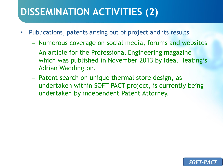## **DISSEMINATION ACTIVITIES (2)**

- Publications, patents arising out of project and its results
	- Numerous coverage on social media, forums and websites
	- An article for the Professional Engineering magazine which was published in November 2013 by Ideal Heating's Adrian Waddington.
	- Patent search on unique thermal store design, as undertaken within SOFT PACT project, is currently being undertaken by independent Patent Attorney.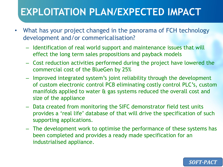### **EXPLOITATION PLAN/EXPECTED IMPACT**

- What has your project changed in the panorama of FCH technology development and/or commericalisation?
	- Identification of real world support and maintenance issues that will effect the long term sales propositions and payback models
	- Cost reduction activities performed during the project have lowered the commercial cost of the BlueGen by 25%
	- Improved integrated system's joint reliability through the development of custom electronic control PCB eliminating costly control PLC's, custom manifolds applied to water & gas systems reduced the overall cost and size of the appliance
	- Data created from monitoring the SIFC demonstrator field test units provides a 'real life' database of that will drive the specification of such supporting applications.
	- The development work to optimise the performance of these systems has been completed and provides a ready made specification for an industrialised appliance.

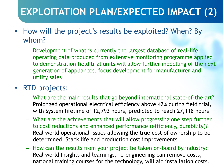# **EXPLOITATION PLAN/EXPECTED IMPACT (2)**

- How will the project's results be exploited? When? By whom?
	- Development of what is currently the largest database of real-life operating data produced from extensive monitoring programme applied to demonstration field trial units will allow further modelling of the next generation of appliances, focus development for manufacturer and utility sales

#### • RTD projects:

- What are the main results that go beyond international state-of-the art? Prolonged operational electrical efficiency above 42% during field trial, with System lifetime of 12,792 hours, predicted to reach 27,118 hours
- What are the achievements that will allow progressing one step further to cost reductions and enhanced performance (efficiency, durability)? Real world operational issues allowing the true cost of ownership to be determined, Stack life and production cost improvements
- How can the results from your project be taken on-board by industry? Real world Insights and learnings, re-engineering can remove costs, national training courses for the technology, will aid installation costs.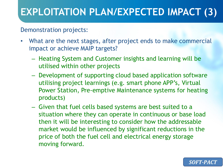## **EXPLOITATION PLAN/EXPECTED IMPACT (3)**

#### Demonstration projects:

- What are the next stages, after project ends to make commercial impact or achieve MAIP targets?
	- Heating System and Customer insights and learning will be utilised within other projects
	- Development of supporting cloud based application software utilising project learnings (e.g. smart phone APP's, Virtual Power Station, Pre-emptive Maintenance systems for heating products)
	- Given that fuel cells based systems are best suited to a situation where they can operate in continuous or base load then it will be interesting to consider how the addressable market would be influenced by significant reductions in the price of both the fuel cell and electrical energy storage moving forward.

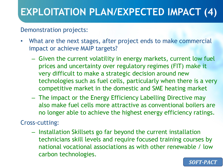# **EXPLOITATION PLAN/EXPECTED IMPACT (4)**

#### Demonstration projects:

- What are the next stages, after project ends to make commercial impact or achieve MAIP targets?
	- Given the current volatility in energy markets, current low fuel prices and uncertainty over regulatory regimes (FIT) make it very difficult to make a strategic decision around new technologies such as fuel cells, particularly when there is a very competitive market in the domestic and SME heating market
	- The impact or the Energy Efficiency Labelling Directive may also make fuel cells more attractive as conventional boilers are no longer able to achieve the highest energy efficiency ratings.

Cross-cutting:

– Installation Skillsets go far beyond the current installation technicians skill levels and require focused training courses by national vocational associations as with other renewable / low carbon technologies.

SOFT-PACT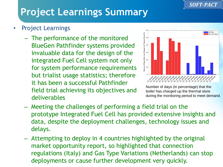#### **SOFT-PACT**

# **Project Learnings Summary**

- Project Learnings
	- The performance of the monitored BlueGen Pathfinder systems provided invaluable data for the design of the integrated Fuel Cell system not only for system performance requirements but trialist usage statistics; therefore it has been a successful Pathfinder field trial achieving its objectives and deliverables



Number of days (in percentage) that the boiler has charged up the thermal store during the monitoring period to meet demand.

- Meeting the challenges of performing a field trial on the prototype Integrated Fuel Cell has provided extensive insights and data, despite the deployment challenges, technology issues and delays.
- Attempting to deploy in 4 countries highlighted by the original market opportunity report, so highlighted that connection regulations (Italy) and Gas Type Variations (Netherlands) can stop deployments or cause further development very quickly.